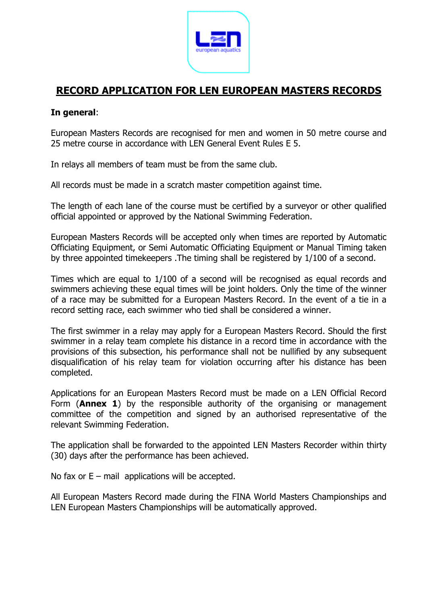

# **RECORD APPLICATION FOR LEN EUROPEAN MASTERS RECORDS**

## **In general**:

European Masters Records are recognised for men and women in 50 metre course and 25 metre course in accordance with LEN General Event Rules E 5.

In relays all members of team must be from the same club.

All records must be made in a scratch master competition against time.

The length of each lane of the course must be certified by a surveyor or other qualified official appointed or approved by the National Swimming Federation.

European Masters Records will be accepted only when times are reported by Automatic Officiating Equipment, or Semi Automatic Officiating Equipment or Manual Timing taken by three appointed timekeepers .The timing shall be registered by 1/100 of a second.

Times which are equal to 1/100 of a second will be recognised as equal records and swimmers achieving these equal times will be joint holders. Only the time of the winner of a race may be submitted for a European Masters Record. In the event of a tie in a record setting race, each swimmer who tied shall be considered a winner.

The first swimmer in a relay may apply for a European Masters Record. Should the first swimmer in a relay team complete his distance in a record time in accordance with the provisions of this subsection, his performance shall not be nullified by any subsequent disqualification of his relay team for violation occurring after his distance has been completed.

Applications for an European Masters Record must be made on a LEN Official Record Form (**Annex 1**) by the responsible authority of the organising or management committee of the competition and signed by an authorised representative of the relevant Swimming Federation.

The application shall be forwarded to the appointed LEN Masters Recorder within thirty (30) days after the performance has been achieved.

No fax or  $E$  – mail applications will be accepted.

All European Masters Record made during the FINA World Masters Championships and LEN European Masters Championships will be automatically approved.